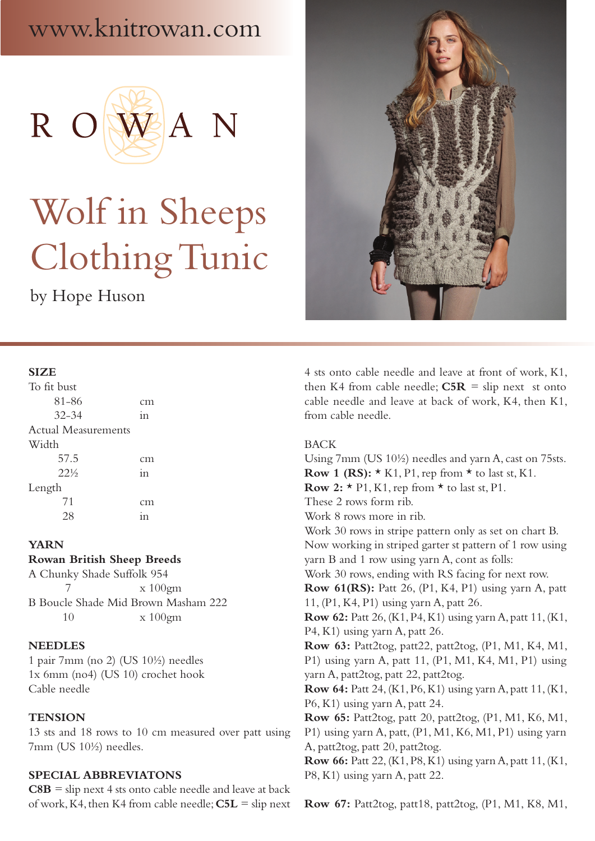# www.knitrowan.com



# Wolf in Sheeps Clothing Tunic

by Hope Huson



#### **SIZE**

| To fit bust                |    |
|----------------------------|----|
| 81-86                      | cm |
| $32 - 34$                  | 11 |
| <b>Actual Measurements</b> |    |
| Width                      |    |
| 57.5                       | cm |
| $22\frac{1}{2}$            | in |
| Length                     |    |
| 71                         | cm |
|                            |    |

#### **YARN**

**Rowan British Sheep Breeds**

A Chunky Shade Suffolk 954 7 x 100gm B Boucle Shade Mid Brown Masham 222 10 x 100gm

#### **NEEDLES**

1 pair 7mm (no 2) (US 10½) needles 1x 6mm (no4) (US 10) crochet hook Cable needle

### **TENSION**

13 sts and 18 rows to 10 cm measured over patt using 7mm (US 10½) needles.

# **SPECIAL ABBREVIATONS**

 $C8B$  = slip next 4 sts onto cable needle and leave at back of work, K4, then K4 from cable needle; **C5L** = slip next 4 sts onto cable needle and leave at front of work, K1, then K4 from cable needle;  $C5R =$  slip next st onto cable needle and leave at back of work, K4, then K1, from cable needle.

#### BACK

Using 7mm (US 10½) needles and yarn A, cast on 75sts. **Row 1 (RS):**  $\star$  K1, P1, rep from  $\star$  to last st, K1. **Row 2:**  $\star$  P1, K1, rep from  $\star$  to last st, P1. These 2 rows form rib. Work 8 rows more in rib. Work 30 rows in stripe pattern only as set on chart B. Now working in striped garter st pattern of 1 row using yarn B and 1 row using yarn A, cont as folls: Work 30 rows, ending with RS facing for next row. **Row 61(RS):** Patt 26, (P1, K4, P1) using yarn A, patt 11, (P1, K4, P1) using yarn A, patt 26. **Row 62:** Patt 26, (K1, P4, K1) using yarn A, patt 11, (K1, P4, K1) using yarn A, patt 26. **Row 63:** Patt2tog, patt22, patt2tog, (P1, M1, K4, M1, P1) using yarn A, patt 11, (P1, M1, K4, M1, P1) using yarn A, patt2tog, patt 22, patt2tog. **Row 64:** Patt 24, (K1, P6, K1) using yarn A, patt 11, (K1, P6, K1) using yarn A, patt 24. **Row 65:** Patt2tog, patt 20, patt2tog, (P1, M1, K6, M1, P1) using yarn A, patt, (P1, M1, K6, M1, P1) using yarn A, patt2tog, patt 20, patt2tog. **Row 66:** Patt 22, (K1, P8, K1) using yarn A, patt 11, (K1, P8, K1) using yarn A, patt 22.

**Row 67:** Patt2tog, patt18, patt2tog, (P1, M1, K8, M1,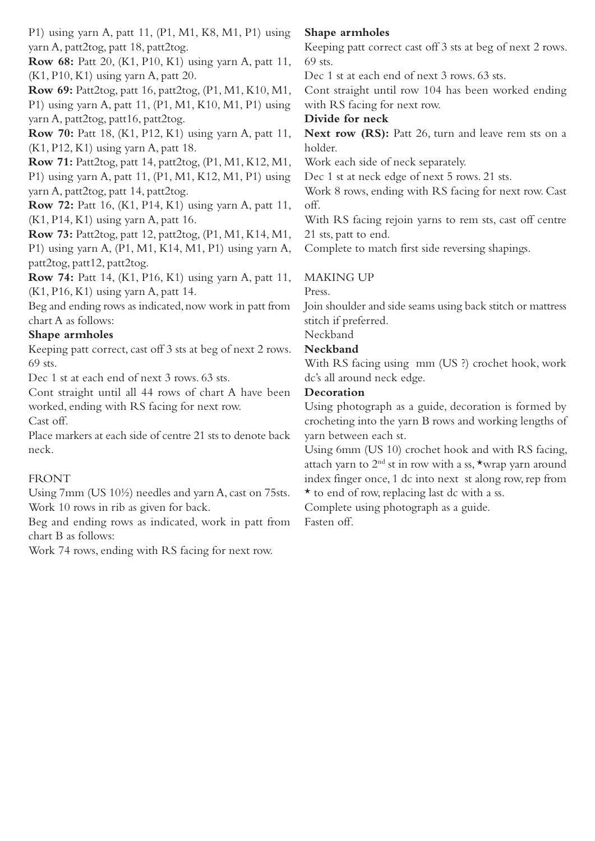P1) using yarn A, patt 11, (P1, M1, K8, M1, P1) using yarn A, patt2tog, patt 18, patt2tog.

**Row 68:** Patt 20, (K1, P10, K1) using yarn A, patt 11, (K1, P10, K1) using yarn A, patt 20.

**Row 69:** Patt2tog, patt 16, patt2tog, (P1, M1, K10, M1, P1) using yarn A, patt 11, (P1, M1, K10, M1, P1) using yarn A, patt2tog, patt16, patt2tog.

**Row 70:** Patt 18, (K1, P12, K1) using yarn A, patt 11, (K1, P12, K1) using yarn A, patt 18.

**Row 71:** Patt2tog, patt 14, patt2tog, (P1, M1, K12, M1, P1) using yarn A, patt 11, (P1, M1, K12, M1, P1) using

yarn A, patt2tog, patt 14, patt2tog. **Row 72:** Patt 16, (K1, P14, K1) using yarn A, patt 11,

(K1, P14, K1) using yarn A, patt 16.

**Row 73:** Patt2tog, patt 12, patt2tog, (P1, M1, K14, M1, P1) using yarn A, (P1, M1, K14, M1, P1) using yarn A, patt2tog, patt12, patt2tog.

**Row 74:** Patt 14, (K1, P16, K1) using yarn A, patt 11, (K1, P16, K1) using yarn A, patt 14.

Beg and ending rows as indicated, now work in patt from chart A as follows:

# **Shape armholes**

Keeping patt correct, cast off 3 sts at beg of next 2 rows. 69 sts.

Dec 1 st at each end of next 3 rows. 63 sts.

Cont straight until all 44 rows of chart A have been worked, ending with RS facing for next row. Cast off.

Place markers at each side of centre 21 sts to denote back neck.

# FRONT

Using 7mm (US 10½) needles and yarn A, cast on 75sts. Work 10 rows in rib as given for back.

Beg and ending rows as indicated, work in patt from chart B as follows:

Work 74 rows, ending with RS facing for next row.

# **Shape armholes**

Keeping patt correct cast off 3 sts at beg of next 2 rows. 69 sts.

Dec 1 st at each end of next 3 rows. 63 sts.

Cont straight until row 104 has been worked ending with RS facing for next row.

# **Divide for neck**

**Next row (RS):** Patt 26, turn and leave rem sts on a holder.

Work each side of neck separately.

Dec 1 st at neck edge of next 5 rows. 21 sts.

Work 8 rows, ending with RS facing for next row. Cast off.

With RS facing rejoin yarns to rem sts, cast off centre 21 sts, patt to end.

Complete to match first side reversing shapings.

# MAKING UP

Press.

Join shoulder and side seams using back stitch or mattress stitch if preferred.

# Neckband

# **Neckband**

With RS facing using mm (US ?) crochet hook, work dc's all around neck edge.

# **Decoration**

Using photograph as a guide, decoration is formed by crocheting into the yarn B rows and working lengths of yarn between each st.

Using 6mm (US 10) crochet hook and with RS facing, attach yarn to 2nd st in row with a ss, \*wrap yarn around index finger once, 1 dc into next st along row, rep from \* to end of row, replacing last dc with a ss.

Complete using photograph as a guide.

Fasten off.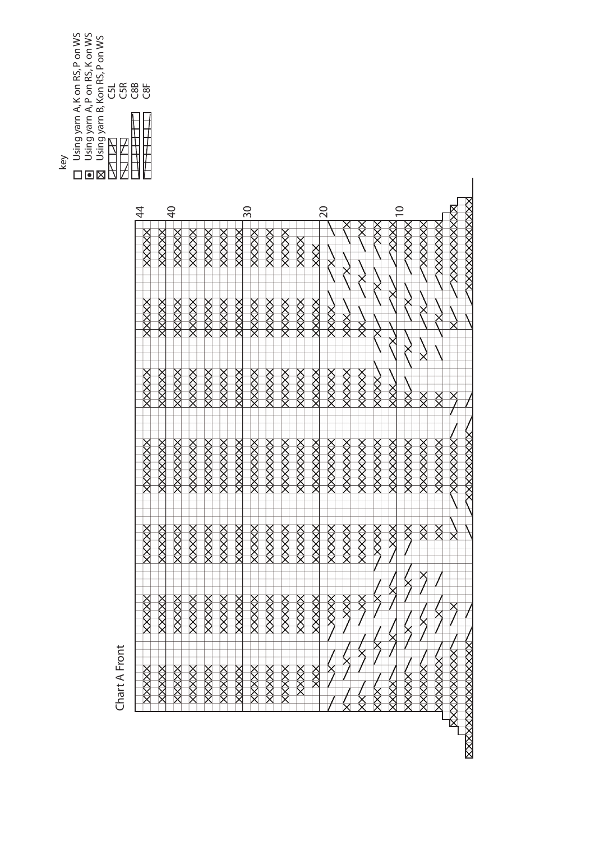|     | Using yarn A, K on RS, P on WS<br>Using yarn A, P on RS, K on WS<br>Jsing yarn B, Kon RS, P on WS<br>G5R<br>$\overline{c}$ 8B<br>U8⊃<br><u>นี</u> |  |
|-----|---------------------------------------------------------------------------------------------------------------------------------------------------|--|
| key |                                                                                                                                                   |  |

| <b>XXXXXXXXXXXXXX</b>          |          |        | XXXXXXXXXX     |                     |             | <b>XXXXXXXXXXXXXXXXX</b> |
|--------------------------------|----------|--------|----------------|---------------------|-------------|--------------------------|
| XXXXXXXXX                      |          |        | XXXXXXXX       |                     |             | <b>RXXXXXXXXX</b>        |
| XXXXXXXX                       |          | ⋚      | XXXXXXXX       | ⋚                   |             | <b>XXXXXXX</b>           |
| XXXXXX                         |          | ⋚      | XXXXXXXX       | ҉                   | X           | XXXXX                    |
| XXXX                           |          |        | XXXXXXXX       | $\breve{\boxtimes}$ |             | <b>QXXX</b>              |
| $\subseteq$<br>XXX             | X        | XXX    | XXXXXXX        | Š                   |             | $\hat{\otimes}$          |
| \$<br>R                        |          | XXXX   | XXXXXXXX       | XXXX                |             |                          |
|                                |          | XXXXXX | XXXXXXXX       | XXXXXX              | XX          |                          |
|                                | XX<br>XX | XXXXXX | XXXXXXXX       | XXXXX               | <b>XXXX</b> |                          |
|                                | XXXXX    | XXXXX  | XXXXXXX        | XXXXX               | XXXX        |                          |
| $\overline{\mathsf{S}}$<br>XXX | XXXXXX   | XXXXX  | XXXXXXXX       | XXXXX               | XXXX        | XXX                      |
| XXXX                           | XXXXXX   | XXXXXX | XXXXXXXX       | XXXXX               | XXXX        | <br>父<br>又               |
| XXXXXX                         | XXXXX    | XXXXX  | XXXXXXXX       | XXXXX               | XXXX        | XXXXX                    |
| XXXXXX                         | XXXXXX   | XXXXX  | XXXXXXXX       | XXXXX               | XXXX        | XXXXX                    |
| XXXXX                          | XXXXXX   | XXXXX  | XXXXXXX        | XXXXX               | XXXX        | XXXXX                    |
| 30<br>XXXXX                    | XXXXX    | XXXXX  | XXXXXXX        | XXXXX               | XXXX        | XXXXX                    |
| XXXXXX                         | XXXXXX   | XXXXXX | XXXXXXXX       | XXXXX               | XXXX        | XXXXX                    |
| XXXXXX                         | XXXXX    | XXXXXX | XXXXXXX        | XXXXX               | XXXX        | $\frac{1}{2}$            |
| XXXXX                          | XXXXXX   | XXXXXX | XXXXXXX        | XXXXXX              | XXXX        | XXXXX                    |
| QÞ<br>XXXXXX                   | XXXXXX   | XXXXX  | XXXXXXXX       | XXXXX               | XXXX        | XXXXX                    |
| XXXXX                          | XXXXX    | XXXXX  | <b>AXXXXXX</b> | XXXXX               | XXXX        | $\times$                 |
| $\overline{4}$<br>XXXXX        | 父父父      | XXXXXX | XXXXXXXX       | <b>XXXXX</b>        | XXXX        |                          |

Chart A Front Chart A Front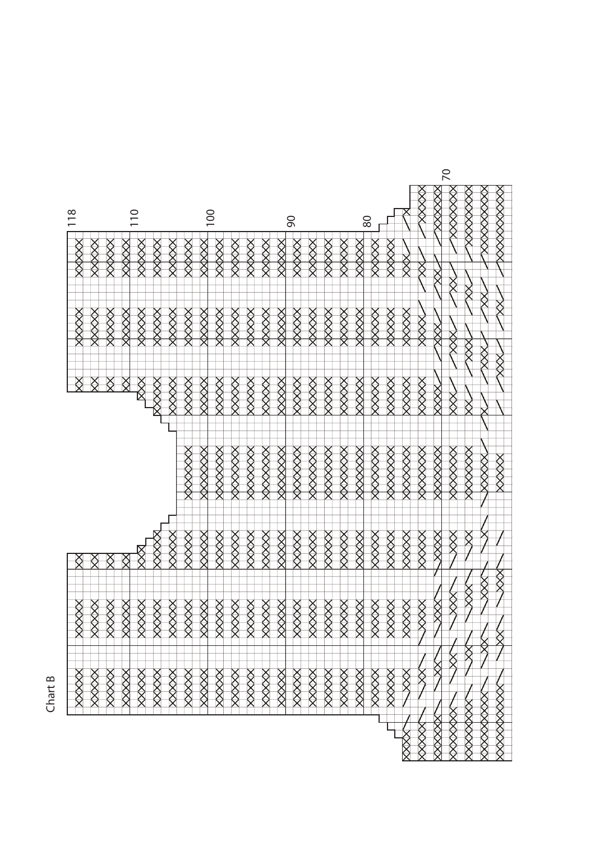|                    |                |                    |               |                         |                    |               |                     |                    |           |               |                    |                                                                                                           |           |                    |                |            |                    |           |             |                    |                |                                          |               | $\overline{C}$          |                    |                   |                         |
|--------------------|----------------|--------------------|---------------|-------------------------|--------------------|---------------|---------------------|--------------------|-----------|---------------|--------------------|-----------------------------------------------------------------------------------------------------------|-----------|--------------------|----------------|------------|--------------------|-----------|-------------|--------------------|----------------|------------------------------------------|---------------|-------------------------|--------------------|-------------------|-------------------------|
| 118                |                |                    |               | $\frac{0}{10}$          |                    |               |                     | $\overline{00}$    |           |               |                    |                                                                                                           |           | 90                 |                |            |                    |           | 80          |                    |                | XXXXX                                    | XXXXXX        | XXXXXX                  | XXXXXXX            | XXXXXXXXX         | <b>XXXXXXXXX</b>        |
| 父父父                | XXXXX          | XXXXX              | $\frac{1}{2}$ | XXXXX                   | $\frac{1}{2}$      | XXXXX         | XXXXXX              | XXXX               | XXXXX     | XXXXX         | $\frac{1}{2}$      | <<br><br><br><br><br><br><br><br><br><br><br><br><br><br><br><br><br><br><br><br><br><br><br><br><br><br> | XXXXX     | XXXX               | <b>XXXXX</b>   | XXXXX      | <b>XXXXX</b>       | XXXXX     | XXXXXX      | XXXXX              |                | ⋚                                        | Ķ             | Ѯ                       |                    |                   |                         |
| <b>XXXXX</b>       | <b>XXXXX</b>   | XXXXXX             | 父父父           | XXXXX                   | $\times$           | XXXXX         | XXXXXX              | XXXXX              | XXXXX     | XXXXX         | $\frac{1}{2}$      | XXXXXX                                                                                                    | XXXXX     | XXXXX              | $\otimes$      | XXXXX      | XXXXX              | XXXXX     | XXXXXX      | XXXXX              | XXXXX          | XXXX                                     | XXX           | <br>交<br>人              | ⋚<br>XXX           | $\breve{\otimes}$ | ⋚                       |
|                    | Ŏ              | Ö                  | e             | $\frac{\aleph}{\aleph}$ | <b>XXXX</b>        | $\frac{1}{2}$ | XXXXX               | XXXXX              | $\otimes$ | XXXXX         | $\otimes$          | XXXX                                                                                                      | XXXXX     | XXXXX              | $\otimes$      | $\otimes$  | XXXXX              | XXXXX     | XXXXX       | XXXXX              | ╳╳╳            | $\hat{\hat{\mathsf{X}}}\hat{\mathsf{X}}$ | XXXX          | $\frac{\aleph}{\aleph}$ | ⋚                  | XX<br>X           | XXX                     |
|                    |                |                    |               |                         |                    |               | $\frac{1}{2}$       | XXXXXX             | XXXXXXX   | $\Diamond$    | $\Diamond$         | XXXXXXX                                                                                                   | XXXXXXX   | XXXXXXX            | $\Diamond$     | $\Diamond$ | XXXXXXX            | XXXXXX    | XXXXXXX     | $\Diamond$         | $\Diamond$     | XXXXXXX                                  | $\Diamond$    | XXXXXXX                 | <b>XXXXXX</b>      | XXXXXX            | XXXXX                   |
|                    | Š              | Š                  | Ĉ             | ŏ                       |                    | $\frac{1}{2}$ | XXXXX               | XXXXX              | $\otimes$ | XXXXX         | $\frac{1}{2}$      | XXXXX                                                                                                     | XXXXX     | XXXXX              | $\otimes$      | ≫≫         | XXXXX              | XXXXX     | XXXXX       | XXXXX              | $\otimes$      | <b>XXXXX</b>                             | XXXX          | XXX                     | Š                  |                   |                         |
| ҉<br>$\frac{8}{9}$ | ⋉<br>$\otimes$ | Ř<br>$\frac{1}{2}$ | ⋚<br>XXXX     | ⋚<br>$\frac{1}{2}$      | ⋚<br>$\frac{1}{2}$ | $\otimes$     | ╳<br>$\times\times$ | ⋚<br>$\frac{1}{2}$ | Ř<br>XXX  | Ř<br>$\times$ | Ř<br>$\frac{1}{2}$ | Ř<br>$\frac{\otimes}{\otimes}$                                                                            | Ř<br>XXXX | Ř<br>$\frac{8}{8}$ | Ř<br>$\otimes$ | Ř<br>XXX   | Ř<br>$\frac{1}{2}$ | Ř<br>XXXX | Ř<br>父<br>父 | Š<br>$\frac{8}{8}$ | Ř<br>$\otimes$ | Ř<br>╳                                   | ⅀             | XXX                     | $\hat{\mathsf{X}}$ | XXX               | $\frac{\aleph}{\aleph}$ |
|                    | XXXXX          | XXXXX              | <b>XXXXX</b>  | XXXXX                   | <b>XXXX</b>        | XXXXX         | XXXXX               | XXXXX              | XXXXX     | XXXXX         | XXXX               | XXXXX                                                                                                     | XXXXXX    | <b>XXXXX</b>       | XXXXX          | XXXXX      | <b>XXXXX</b>       | XXXXX     | XXXXX       | XXXXX              | XXX            | ⋚                                        | Ř             |                         | Ř                  |                   |                         |
|                    |                |                    |               |                         |                    |               |                     |                    |           |               |                    |                                                                                                           |           |                    |                |            |                    |           |             |                    | Ř              | XXXXX                                    | <b>SEXXXX</b> | XXXXXXX                 | XXXXXXXX           | <b>AXXXXXXXX</b>  | <b>XXXXXXXXXXX</b>      |

Chart B